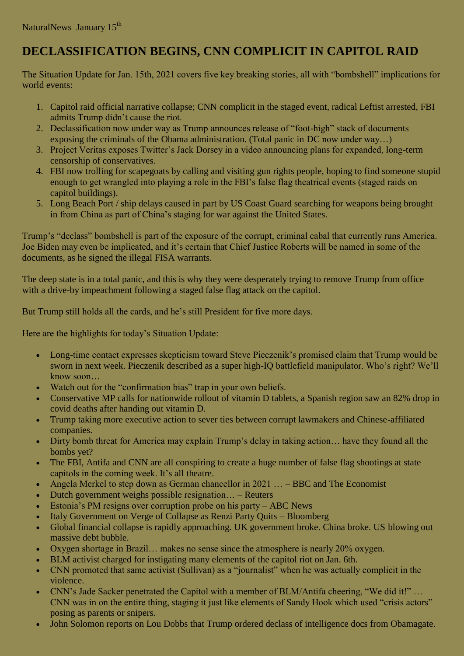## **DECLASSIFICATION BEGINS, CNN COMPLICIT IN CAPITOL RAID**

The Situation Update for Jan. 15th, 2021 covers five key breaking stories, all with "bombshell" implications for world events:

- 1. Capitol raid official narrative collapse; CNN complicit in the staged event, radical Leftist arrested, FBI admits Trump didn't cause the riot.
- 2. Declassification now under way as Trump announces release of "foot-high" stack of documents exposing the criminals of the Obama administration. (Total panic in DC now under way…)
- 3. Project Veritas exposes Twitter's Jack Dorsey in a video announcing plans for expanded, long-term censorship of conservatives.
- 4. FBI now trolling for scapegoats by calling and visiting gun rights people, hoping to find someone stupid enough to get wrangled into playing a role in the FBI's false flag theatrical events (staged raids on capitol buildings).
- 5. Long Beach Port / ship delays caused in part by US Coast Guard searching for weapons being brought in from China as part of China's staging for war against the United States.

Trump's "declass" bombshell is part of the exposure of the corrupt, criminal cabal that currently runs America. Joe Biden may even be implicated, and it's certain that Chief Justice Roberts will be named in some of the documents, as he signed the illegal FISA warrants.

The deep state is in a total panic, and this is why they were desperately trying to remove Trump from office with a drive-by impeachment following a staged false flag attack on the capitol.

But Trump still holds all the cards, and he's still President for five more days.

Here are the highlights for today's Situation Update:

- Long-time contact expresses skepticism toward Steve Pieczenik's promised claim that Trump would be sworn in next week. Pieczenik described as a super high-IQ battlefield manipulator. Who's right? We'll know soon…
- Watch out for the "confirmation bias" trap in your own beliefs.
- Conservative MP calls for nationwide rollout of vitamin D tablets, a Spanish region saw an 82% drop in covid deaths after handing out vitamin D.
- Trump taking more executive action to sever ties between corrupt lawmakers and Chinese-affiliated companies.
- Dirty bomb threat for America may explain Trump's delay in taking action… have they found all the bombs yet?
- The FBI, Antifa and CNN are all conspiring to create a huge number of false flag shootings at state capitols in the coming week. It's all theatre.
- Angela Merkel to step down as German chancellor in  $2021...$  BBC and The Economist
- Dutch government weighs possible resignation...  $-$  Reuters
- Estonia's PM resigns over corruption probe on his party ABC News
- Italy Government on Verge of Collapse as Renzi Party Quits Bloomberg
- Global financial collapse is rapidly approaching. UK government broke. China broke. US blowing out massive debt bubble.
- Oxygen shortage in Brazil… makes no sense since the atmosphere is nearly 20% oxygen.
- BLM activist charged for instigating many elements of the capitol riot on Jan. 6th.
- CNN promoted that same activist (Sullivan) as a "journalist" when he was actually complicit in the violence.
- CNN's Jade Sacker penetrated the Capitol with a member of BLM/Antifa cheering, "We did it!" … CNN was in on the entire thing, staging it just like elements of Sandy Hook which used "crisis actors" posing as parents or snipers.
- John Solomon reports on Lou Dobbs that Trump ordered declass of intelligence docs from Obamagate.